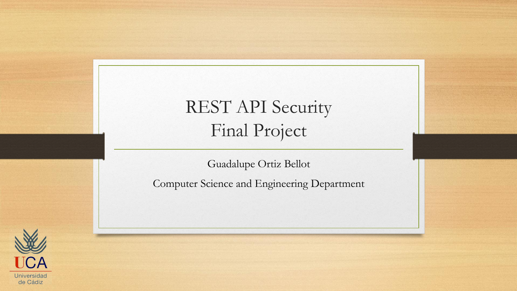#### REST API Security Final Project

Guadalupe Ortiz Bellot

Computer Science and Engineering Department

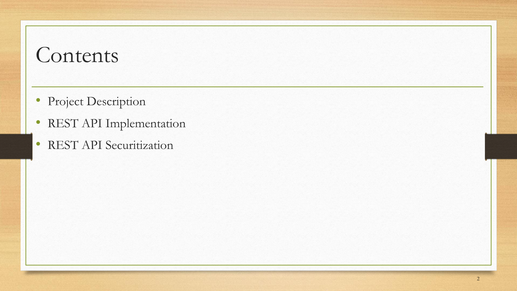- Project Description
- REST API Implementation
- REST API Securitization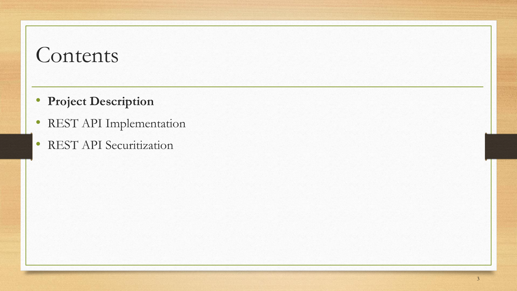- **Project Description**
- REST API Implementation
- REST API Securitization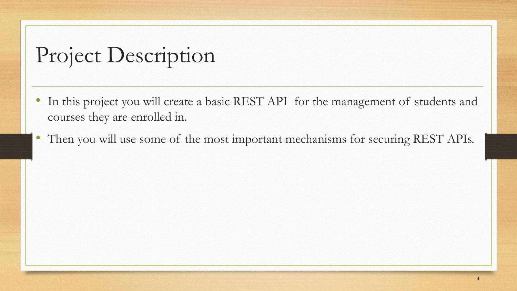# Project Description

- In this project you will create a basic REST API for the management of students and courses they are enrolled in.
- Then you will use some of the most important mechanisms for securing REST APIs.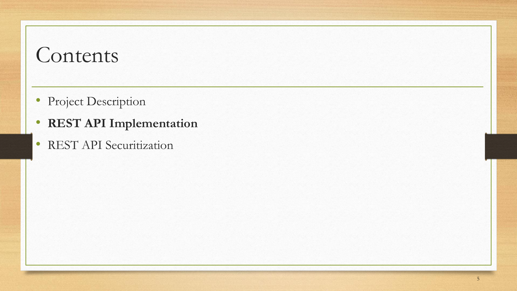- Project Description
- **REST API Implementation**
- REST API Securitization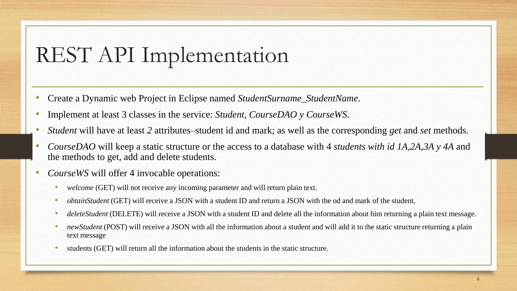# REST API Implementation

- Create a Dynamic web Project in Eclipse named *StudentSurname\_StudentName*.
- Implement at least 3 classes in the service: *Student, CourseDAO y CourseWS*.
- *Student* will have at least *2* attributes–student id and mark; as well as the corresponding *get* and *set* methods.
- *CourseDAO* will keep a static structure or the access to a database with 4 *students with id 1A,2A,3A y 4A* and the methods to get, add and delete students.
- *CourseWS* will offer 4 invocable operations:
	- welcome (GET) will not receive any incoming parameter and will return plain text.
	- *obtainStudent* (GET) will receive a JSON with a student ID and return a JSON with the od and mark of the student,
	- *deleteStudent* (DELETE) will receive a JSON with a student ID and delete all the information about him returning a plain text message.
	- *newStudent* (POST) will receive a JSON with all the information about a student and will add it to the static structure returning a plain text message
	- students (GET) will return all the information about the students in the static structure.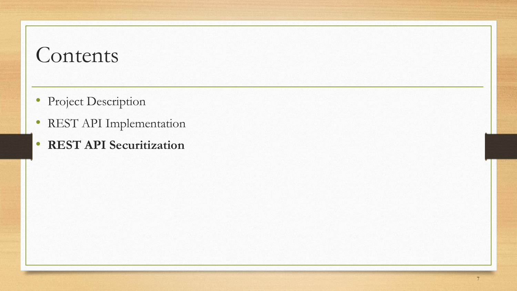- Project Description
- REST API Implementation
- **REST API Securitization**